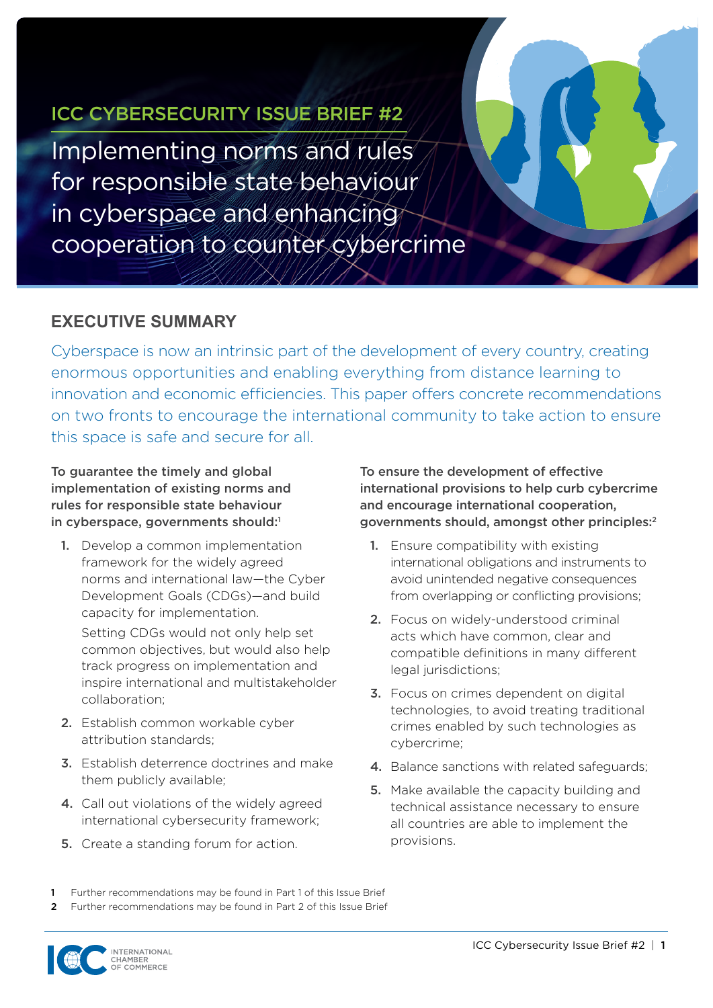## <span id="page-0-0"></span>ICC CYBERSECURITY ISSUE BRIEF #2

Implementing norms and rules for responsible state behaviour in cyberspace and enhancing cooperation to counter cybercrime

### **EXECUTIVE SUMMARY**

Cyberspace is now an intrinsic part of the development of every country, creating enormous opportunities and enabling everything from distance learning to innovation and economic efficiencies. This paper offers concrete recommendations on two fronts to encourage the international community to take action to ensure this space is safe and secure for all.

To guarantee the timely and global implementation of existing norms and rules for responsible state behaviour in cyberspace, governments should:<sup>1</sup>

1. Develop a common implementation framework for the widely agreed norms and international law—the Cyber Development Goals (CDGs)—and build capacity for implementation.

Setting CDGs would not only help set common objectives, but would also help track progress on implementation and inspire international and multistakeholder collaboration;

- 2. Establish common workable cyber attribution standards;
- 3. Establish deterrence doctrines and make them publicly available;
- 4. Call out violations of the widely agreed international cybersecurity framework;
- 5. Create a standing forum for action.

To ensure the development of effective international provisions to help curb cybercrime and encourage international cooperation, governments should, amongst other principles:2

- 1. Ensure compatibility with existing international obligations and instruments to avoid unintended negative consequences from overlapping or conflicting provisions;
- 2. Focus on widely-understood criminal acts which have common, clear and compatible definitions in many different legal jurisdictions;
- **3.** Focus on crimes dependent on digital technologies, to avoid treating traditional crimes enabled by such technologies as cybercrime;
- 4. Balance sanctions with related safeguards:
- **5.** Make available the capacity building and technical assistance necessary to ensure all countries are able to implement the provisions.

Further recommendations may be found in Part 1 of this Issue Brief

2 Further recommendations may be found in Part 2 of this Issue Brief

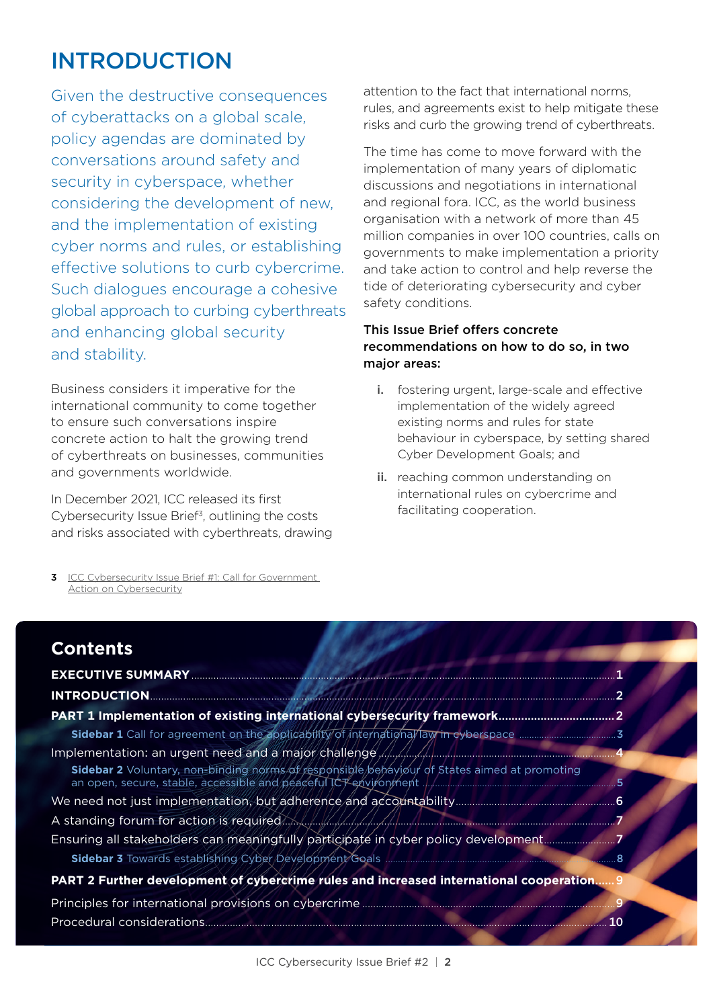# INTRODUCTION

Given the destructive consequences of cyberattacks on a global scale, policy agendas are dominated by conversations around safety and security in cyberspace, whether considering the development of new, and the implementation of existing cyber norms and rules, or establishing effective solutions to curb cybercrime. Such dialogues encourage a cohesive global approach to curbing cyberthreats and enhancing global security and stability.

Business considers it imperative for the international community to come together to ensure such conversations inspire concrete action to halt the growing trend of cyberthreats on businesses, communities and governments worldwide.

In December 2021, ICC released its first Cybersecurity Issue Brief3, outlining the costs and risks associated with cyberthreats, drawing

3 ICC Cybersecurity Issue Brief #1: Call for Government [Action on Cybersecurity](https://iccwbo.org/publication/icc-cybersecurity-issue-brief-1/)

attention to the fact that international norms, rules, and agreements exist to help mitigate these risks and curb the growing trend of cyberthreats.

The time has come to move forward with the implementation of many years of diplomatic discussions and negotiations in international and regional fora. ICC, as the world business organisation with a network of more than 45 million companies in over 100 countries, calls on governments to make implementation a priority and take action to control and help reverse the tide of deteriorating cybersecurity and cyber safety conditions.

### This Issue Brief offers concrete recommendations on how to do so, in two major areas:

- i. fostering urgent, large-scale and effective implementation of the widely agreed existing norms and rules for state behaviour in cyberspace, by setting shared Cyber Development Goals; and
- ii. reaching common understanding on international rules on cybercrime and facilitating cooperation.

| <b>Contents</b>                                                                              |     |
|----------------------------------------------------------------------------------------------|-----|
| <b>EXECUTIVE SUMMARY</b>                                                                     |     |
| <b>INTRODUCTION.</b>                                                                         |     |
|                                                                                              |     |
|                                                                                              |     |
|                                                                                              |     |
| Sidebar 2 Voluntary, non-binding norms of responsible behaviour of States aimed at promoting |     |
|                                                                                              |     |
|                                                                                              |     |
|                                                                                              |     |
|                                                                                              | . 8 |
| PART 2 Further development of cybercrime rules and increased international cooperation 9     |     |
|                                                                                              |     |
| Procedural considerations                                                                    |     |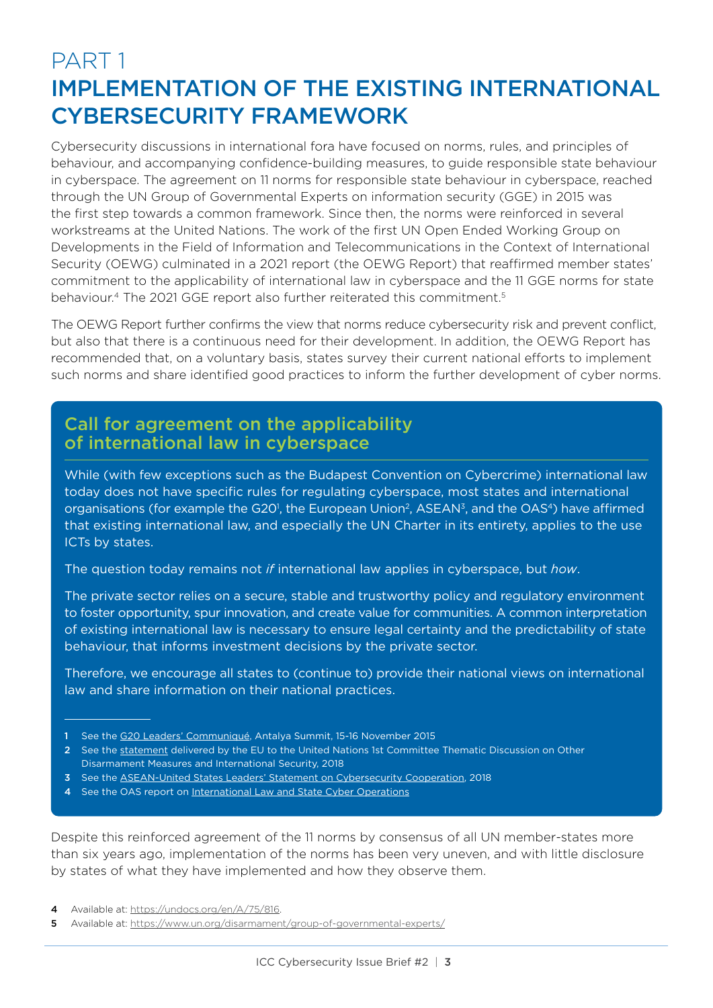## PART 1 IMPLEMENTATION OF THE EXISTING INTERNATIONAL CYBERSECURITY FRAMEWORK

Cybersecurity discussions in international fora have focused on norms, rules, and principles of behaviour, and accompanying confidence-building measures, to guide responsible state behaviour in cyberspace. The agreement on 11 norms for responsible state behaviour in cyberspace, reached through the UN Group of Governmental Experts on information security (GGE) in 2015 was the first step towards a common framework. Since then, the norms were reinforced in several workstreams at the United Nations. The work of the first UN Open Ended Working Group on Developments in the Field of Information and Telecommunications in the Context of International Security (OEWG) culminated in a 2021 report (the OEWG Report) that reaffirmed member states' commitment to the applicability of international law in cyberspace and the 11 GGE norms for state behaviour.<sup>4</sup> The 2021 GGE report also further reiterated this commitment.<sup>5</sup>

The OEWG Report further confirms the view that norms reduce cybersecurity risk and prevent conflict, but also that there is a continuous need for their development. In addition, the OEWG Report has recommended that, on a voluntary basis, states survey their current national efforts to implement such norms and share identified good practices to inform the further development of cyber norms.

## Call for agreement on the applicability of international law in cyberspace

While (with few exceptions such as the Budapest Convention on Cybercrime) international law today does not have specific rules for regulating cyberspace, most states and international organisations (for example the G20<sup>1</sup>, the European Union<sup>2</sup>, ASEAN<sup>3</sup>, and the OAS<sup>4</sup>) have affirmed that existing international law, and especially the UN Charter in its entirety, applies to the use ICTs by states.

The question today remains not *if* international law applies in cyberspace, but *how*.

The private sector relies on a secure, stable and trustworthy policy and regulatory environment to foster opportunity, spur innovation, and create value for communities. A common interpretation of existing international law is necessary to ensure legal certainty and the predictability of state behaviour, that informs investment decisions by the private sector.

Therefore, we encourage all states to (continue to) provide their national views on international law and share information on their national practices.

- 3 See the [ASEAN-United States Leaders' Statement on Cybersecurity Cooperation,](https://asean.usmission.gov/asean-united-states-leaders-statement-on-cybersecurity-cooperation/) 2018
- See the OAS report on [International Law and State Cyber Operations](https://www.oas.org/en/sla/iajc/docs/International_Law_and_State_Cyber_Operations_publication.pdf)

Despite this reinforced agreement of the 11 norms by consensus of all UN member-states more than six years ago, implementation of the norms has been very uneven, and with little disclosure by states of what they have implemented and how they observe them.

4 Available at: [https://undocs.org/en/A/75/816.](https://undocs.org/en/A/75/816)

<sup>1</sup> See the [G20 Leaders' Communiqué](https://www.gpfi.org/sites/gpfi/files/documents/G20-Antalya-Leaders-Summit-Communiqu--.pdf), Antalya Summit, 15-16 November 2015

<sup>2</sup> See the [statement](https://eeas.europa.eu/delegations/un-new-york/52894/eu-statement-%E2%80%93-united-nations-1st-committee-thematic-discussion-other-disarmament-measures-and_en) delivered by the EU to the United Nations 1st Committee Thematic Discussion on Other Disarmament Measures and International Security, 2018

<sup>5</sup> Available at: <https://www.un.org/disarmament/group-of-governmental-experts/>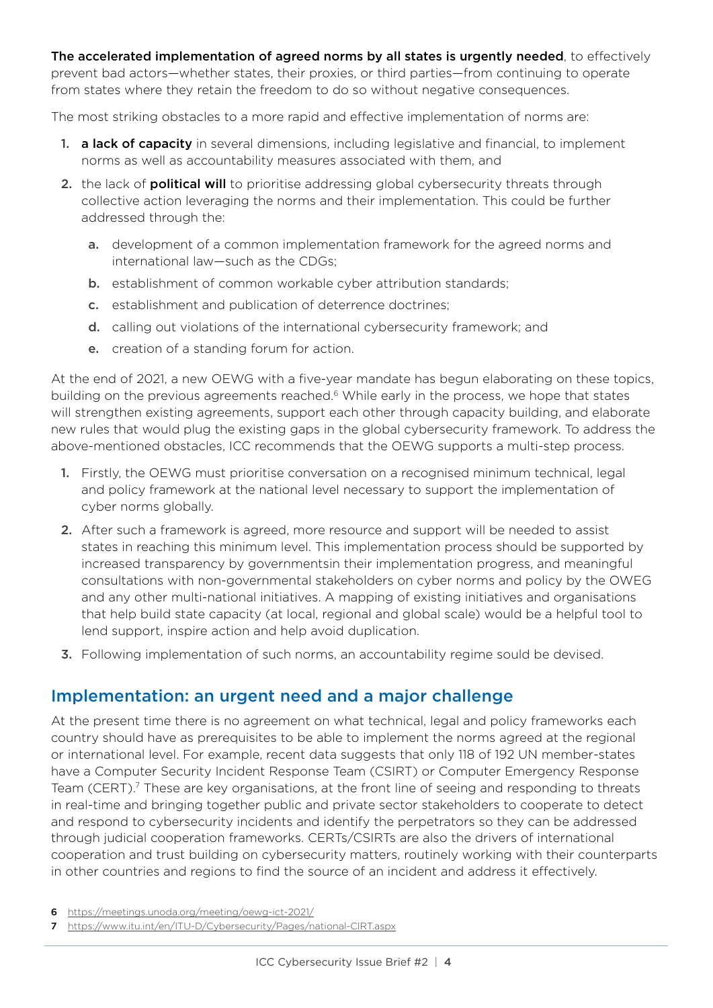The accelerated implementation of agreed norms by all states is urgently needed, to effectively prevent bad actors—whether states, their proxies, or third parties—from continuing to operate from states where they retain the freedom to do so without negative consequences.

The most striking obstacles to a more rapid and effective implementation of norms are:

- 1. **a lack of capacity** in several dimensions, including legislative and financial, to implement norms as well as accountability measures associated with them, and
- 2. the lack of **political will** to prioritise addressing global cybersecurity threats through collective action leveraging the norms and their implementation. This could be further addressed through the:
	- a. development of a common implementation framework for the agreed norms and international law—such as the CDGs;
	- **b.** establishment of common workable cyber attribution standards;
	- c. establishment and publication of deterrence doctrines;
	- d. calling out violations of the international cybersecurity framework; and
	- e. creation of a standing forum for action.

At the end of 2021, a new OEWG with a five-year mandate has begun elaborating on these topics, building on the previous agreements reached.<sup>6</sup> While early in the process, we hope that states will strengthen existing agreements, support each other through capacity building, and elaborate new rules that would plug the existing gaps in the global cybersecurity framework. To address the above-mentioned obstacles, ICC recommends that the OEWG supports a multi-step process.

- 1. Firstly, the OEWG must prioritise conversation on a recognised minimum technical, legal and policy framework at the national level necessary to support the implementation of cyber norms globally.
- 2. After such a framework is agreed, more resource and support will be needed to assist states in reaching this minimum level. This implementation process should be supported by increased transparency by governmentsin their implementation progress, and meaningful consultations with non-governmental stakeholders on cyber norms and policy by the OWEG and any other multi-national initiatives. A mapping of existing initiatives and organisations that help build state capacity (at local, regional and global scale) would be a helpful tool to lend support, inspire action and help avoid duplication.
- 3. Following implementation of such norms, an accountability regime sould be devised.

### Implementation: an urgent need and a major challenge

At the present time there is no agreement on what technical, legal and policy frameworks each country should have as prerequisites to be able to implement the norms agreed at the regional or international level. For example, recent data suggests that only 118 of 192 UN member-states have a Computer Security Incident Response Team (CSIRT) or Computer Emergency Response Team (CERT).<sup>7</sup> These are key organisations, at the front line of seeing and responding to threats in real-time and bringing together public and private sector stakeholders to cooperate to detect and respond to cybersecurity incidents and identify the perpetrators so they can be addressed through judicial cooperation frameworks. CERTs/CSIRTs are also the drivers of international cooperation and trust building on cybersecurity matters, routinely working with their counterparts in other countries and regions to find the source of an incident and address it effectively.

- 6 <https://meetings.unoda.org/meeting/oewg-ict-2021/>
- 7 [https://www.itu.int/en/ITU-D/Cybersecurity/Pages/national-CIRT.aspx](https://eur01.safelinks.protection.outlook.com/?url=https%3A%2F%2Fwww.unodc.org%2Funodc%2Fen%2Fcybercrime%2Fad_hoc_committee%2Fhome&data=04%7C01%7Cjeff.dombrowski%40iccwbo.org%7C3922781f16b64c1a1eb408da08ea91b3%7Cc541a3c6520b49ce82202228ac7c3626%7C0%7C0%7C637832100813576645%7CUnknown%7CTWFpbGZsb3d8eyJWIjoiMC4wLjAwMDAiLCJQIjoiV2luMzIiLCJBTiI6Ik1haWwiLCJXVCI6Mn0%3D%7C3000&sdata=JCB855YJX3%2BeV%2B1ebjfia4QFrBoQNiTDRVqgf7uIli0%3D&reserved=0)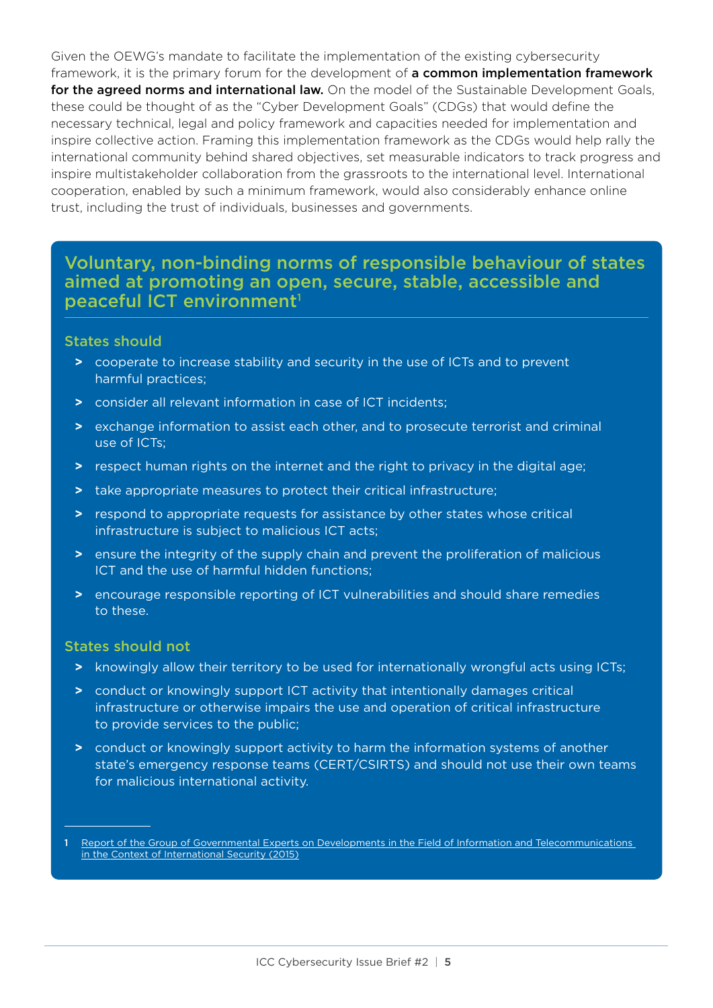Given the OEWG's mandate to facilitate the implementation of the existing cybersecurity framework, it is the primary forum for the development of **a common implementation framework** for the agreed norms and international law. On the model of the Sustainable Development Goals, these could be thought of as the "Cyber Development Goals" (CDGs) that would define the necessary technical, legal and policy framework and capacities needed for implementation and inspire collective action. Framing this implementation framework as the CDGs would help rally the international community behind shared objectives, set measurable indicators to track progress and inspire multistakeholder collaboration from the grassroots to the international level. International cooperation, enabled by such a minimum framework, would also considerably enhance online trust, including the trust of individuals, businesses and governments.

### Voluntary, non-binding norms of responsible behaviour of states aimed at promoting an open, secure, stable, accessible and peaceful ICT environment<sup>1</sup>

#### States should

- **>** cooperate to increase stability and security in the use of ICTs and to prevent harmful practices;
- **>** consider all relevant information in case of ICT incidents;
- **>** exchange information to assist each other, and to prosecute terrorist and criminal use of ICTs;
- **>** respect human rights on the internet and the right to privacy in the digital age;
- **>** take appropriate measures to protect their critical infrastructure;
- **>** respond to appropriate requests for assistance by other states whose critical infrastructure is subject to malicious ICT acts;
- **>** ensure the integrity of the supply chain and prevent the proliferation of malicious ICT and the use of harmful hidden functions;
- **>** encourage responsible reporting of ICT vulnerabilities and should share remedies to these.

#### States should not

- **>** knowingly allow their territory to be used for internationally wrongful acts using ICTs;
- **>** conduct or knowingly support ICT activity that intentionally damages critical infrastructure or otherwise impairs the use and operation of critical infrastructure to provide services to the public;
- **>** conduct or knowingly support activity to harm the information systems of another state's emergency response teams (CERT/CSIRTS) and should not use their own teams for malicious international activity.

Report of the Group of Governmental Experts on Developments in the Field of Information and Telecommunications [in the Context of International Security \(2015\)](https://documents-dds-ny.un.org/doc/UNDOC/GEN/N15/228/35/PDF/N1522835.pdf?OpenElement)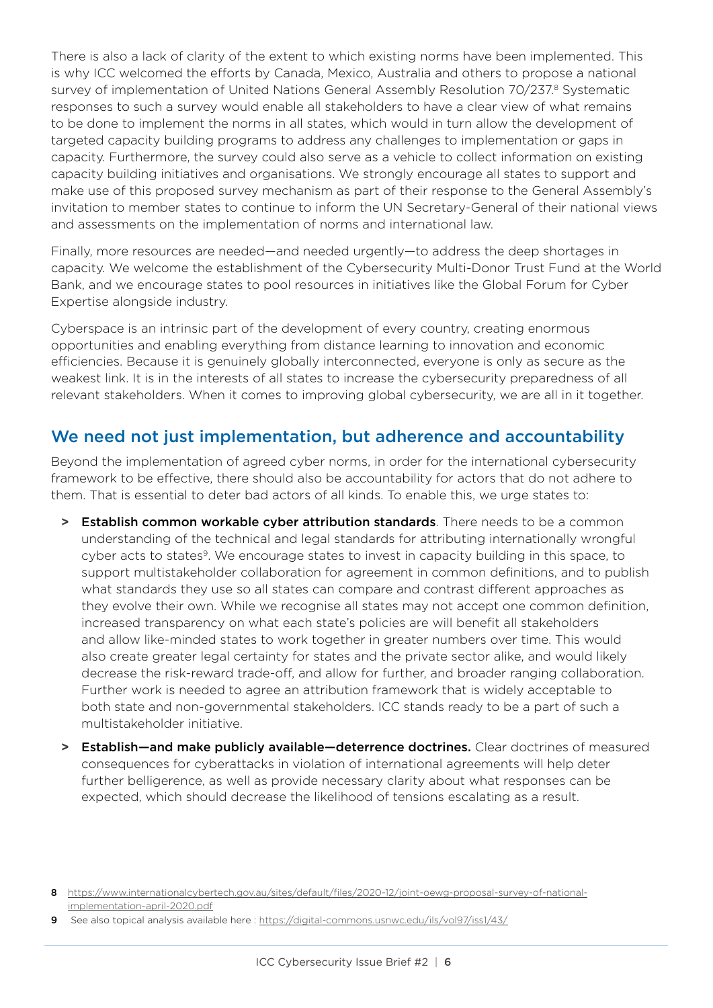There is also a lack of clarity of the extent to which existing norms have been implemented. This is why ICC welcomed the efforts by Canada, Mexico, Australia and others to propose a national survey of implementation of United Nations General Assembly Resolution 70/237.8 Systematic responses to such a survey would enable all stakeholders to have a clear view of what remains to be done to implement the norms in all states, which would in turn allow the development of targeted capacity building programs to address any challenges to implementation or gaps in capacity. Furthermore, the survey could also serve as a vehicle to collect information on existing capacity building initiatives and organisations. We strongly encourage all states to support and make use of this proposed survey mechanism as part of their response to the General Assembly's invitation to member states to continue to inform the UN Secretary-General of their national views and assessments on the implementation of norms and international law.

Finally, more resources are needed—and needed urgently—to address the deep shortages in capacity. We welcome the establishment of the Cybersecurity Multi-Donor Trust Fund at the World Bank, and we encourage states to pool resources in initiatives like the Global Forum for Cyber Expertise alongside industry.

Cyberspace is an intrinsic part of the development of every country, creating enormous opportunities and enabling everything from distance learning to innovation and economic efficiencies. Because it is genuinely globally interconnected, everyone is only as secure as the weakest link. It is in the interests of all states to increase the cybersecurity preparedness of all relevant stakeholders. When it comes to improving global cybersecurity, we are all in it together.

### We need not just implementation, but adherence and accountability

Beyond the implementation of agreed cyber norms, in order for the international cybersecurity framework to be effective, there should also be accountability for actors that do not adhere to them. That is essential to deter bad actors of all kinds. To enable this, we urge states to:

- **>** Establish common workable cyber attribution standards. There needs to be a common understanding of the technical and legal standards for attributing internationally wrongful cyber acts to states<sup>9</sup>. We encourage states to invest in capacity building in this space, to support multistakeholder collaboration for agreement in common definitions, and to publish what standards they use so all states can compare and contrast different approaches as they evolve their own. While we recognise all states may not accept one common definition, increased transparency on what each state's policies are will benefit all stakeholders and allow like-minded states to work together in greater numbers over time. This would also create greater legal certainty for states and the private sector alike, and would likely decrease the risk-reward trade-off, and allow for further, and broader ranging collaboration. Further work is needed to agree an attribution framework that is widely acceptable to both state and non-governmental stakeholders. ICC stands ready to be a part of such a multistakeholder initiative.
- **>** Establish—and make publicly available—deterrence doctrines. Clear doctrines of measured consequences for cyberattacks in violation of international agreements will help deter further belligerence, as well as provide necessary clarity about what responses can be expected, which should decrease the likelihood of tensions escalating as a result.

<sup>8</sup> [https://www.internationalcybertech.gov.au/sites/default/files/2020-12/joint-oewg-proposal-survey-of-national](https://www.internationalcybertech.gov.au/sites/default/files/2020-12/joint-oewg-proposal-survey-of-national-implementation-april-2020.pdf)[implementation-april-2020.pdf](https://www.internationalcybertech.gov.au/sites/default/files/2020-12/joint-oewg-proposal-survey-of-national-implementation-april-2020.pdf)

<sup>9</sup> See also topical analysis available here :<https://digital-commons.usnwc.edu/ils/vol97/iss1/43/>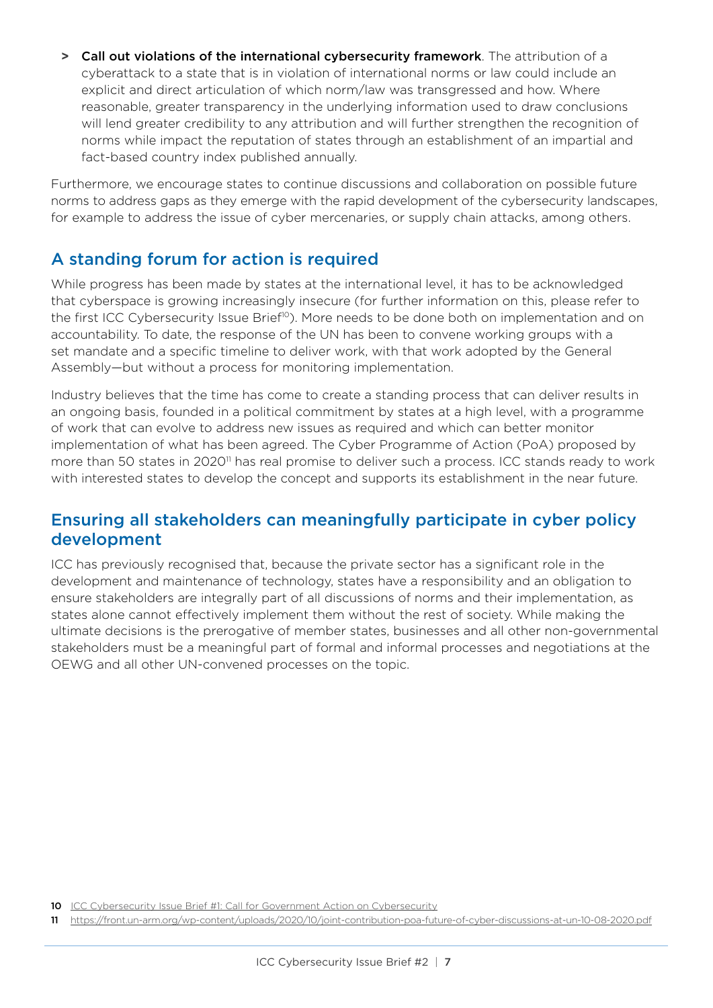**>** Call out violations of the international cybersecurity framework. The attribution of a cyberattack to a state that is in violation of international norms or law could include an explicit and direct articulation of which norm/law was transgressed and how. Where reasonable, greater transparency in the underlying information used to draw conclusions will lend greater credibility to any attribution and will further strengthen the recognition of norms while impact the reputation of states through an establishment of an impartial and fact-based country index published annually.

Furthermore, we encourage states to continue discussions and collaboration on possible future norms to address gaps as they emerge with the rapid development of the cybersecurity landscapes, for example to address the issue of cyber mercenaries, or supply chain attacks, among others.

### A standing forum for action is required

While progress has been made by states at the international level, it has to be acknowledged that cyberspace is growing increasingly insecure (for further information on this, please refer to the first ICC Cybersecurity Issue Brief<sup>10</sup>). More needs to be done both on implementation and on accountability. To date, the response of the UN has been to convene working groups with a set mandate and a specific timeline to deliver work, with that work adopted by the General Assembly—but without a process for monitoring implementation.

Industry believes that the time has come to create a standing process that can deliver results in an ongoing basis, founded in a political commitment by states at a high level, with a programme of work that can evolve to address new issues as required and which can better monitor implementation of what has been agreed. The Cyber Programme of Action (PoA) proposed by more than 50 states in 2020<sup>11</sup> has real promise to deliver such a process. ICC stands ready to work with interested states to develop the concept and supports its establishment in the near future.

### Ensuring all stakeholders can meaningfully participate in cyber policy development

ICC has previously recognised that, because the private sector has a significant role in the development and maintenance of technology, states have a responsibility and an obligation to ensure stakeholders are integrally part of all discussions of norms and their implementation, as states alone cannot effectively implement them without the rest of society. While making the ultimate decisions is the prerogative of member states, businesses and all other non-governmental stakeholders must be a meaningful part of formal and informal processes and negotiations at the OEWG and all other UN-convened processes on the topic.

<sup>10</sup> [ICC Cybersecurity Issue Brief #1: Call for Government Action on Cybersecurity](https://iccwbo.org/publication/icc-cybersecurity-issue-brief-1/)

<sup>11</sup> <https://front.un-arm.org/wp-content/uploads/2020/10/joint-contribution-poa-future-of-cyber-discussions-at-un-10-08-2020.pdf>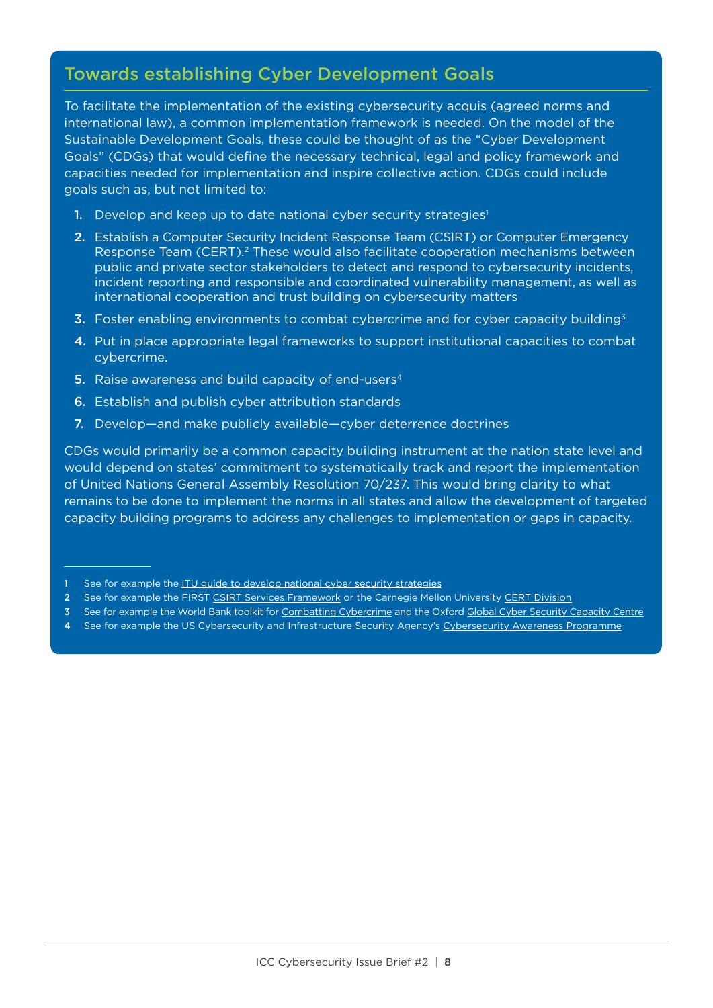### Towards establishing Cyber Development Goals

To facilitate the implementation of the existing cybersecurity acquis (agreed norms and international law), a common implementation framework is needed. On the model of the Sustainable Development Goals, these could be thought of as the "Cyber Development Goals" (CDGs) that would define the necessary technical, legal and policy framework and capacities needed for implementation and inspire collective action. CDGs could include goals such as, but not limited to:

- 1. Develop and keep up to date national cyber security strategies<sup>1</sup>
- 2. Establish a Computer Security Incident Response Team (CSIRT) or Computer Emergency Response Team (CERT).<sup>2</sup> These would also facilitate cooperation mechanisms between public and private sector stakeholders to detect and respond to cybersecurity incidents, incident reporting and responsible and coordinated vulnerability management, as well as international cooperation and trust building on cybersecurity matters
- **3.** Foster enabling environments to combat cybercrime and for cyber capacity building<sup>3</sup>
- 4. Put in place appropriate legal frameworks to support institutional capacities to combat cybercrime.
- 5. Raise awareness and build capacity of end-users<sup>4</sup>
- 6. Establish and publish cyber attribution standards
- 7. Develop—and make publicly available—cyber deterrence doctrines

CDGs would primarily be a common capacity building instrument at the nation state level and would depend on states' commitment to systematically track and report the implementation of United Nations General Assembly Resolution 70/237. This would bring clarity to what remains to be done to implement the norms in all states and allow the development of targeted capacity building programs to address any challenges to implementation or gaps in capacity.

- 2 See for example the FIRST [CSIRT Services Framework](https://www.first.org/standards/frameworks/csirts/csirt_services_framework_v2.1) or the Carnegie Mellon University [CERT Division](https://sei.cmu.edu/about/divisions/cert/index.cfm)
- 3 See for example the World Bank toolkit for [Combatting Cybercrime](https://www.combattingcybercrime.org/) and the Oxford [Global Cyber Security Capacity Centre](https://gcscc.ox.ac.uk/the-cmm)
- 4 See for example the US Cybersecurity and Infrastructure Security Agency's [Cybersecurity Awareness Programme](https://www.cisa.gov/cisa-cybersecurity-awareness-program)

See for example the [ITU guide to develop national cyber security strategies](https://www.itu.int/en/ITU-D/Cybersecurity/Pages/cybersecurity-national-strategies.aspx)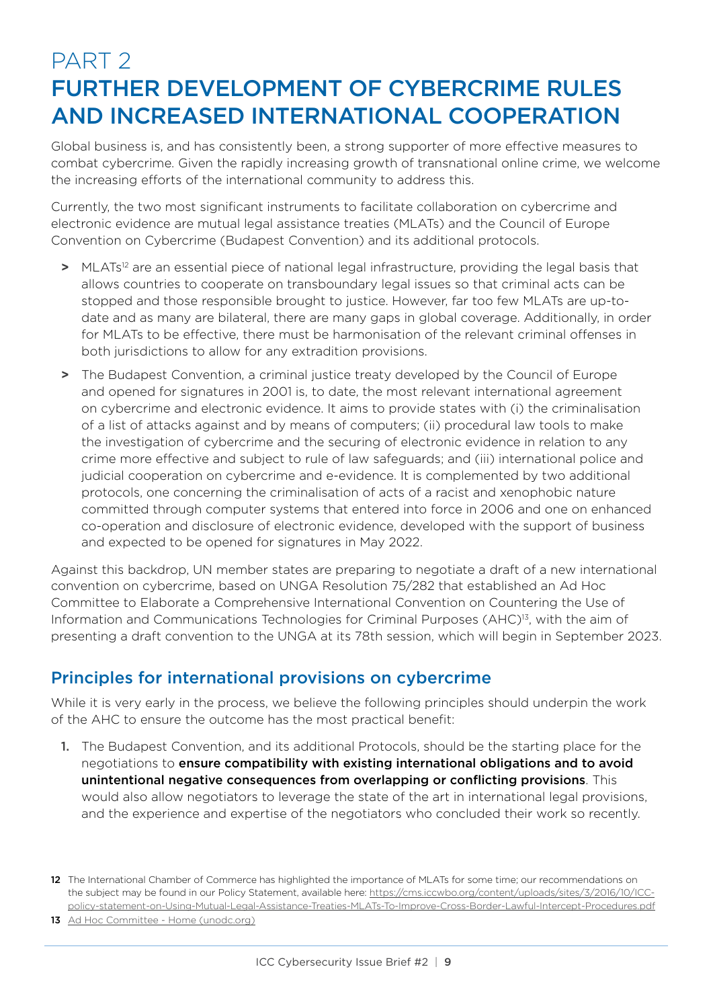## PART 2 FURTHER DEVELOPMENT OF CYBERCRIME RULES AND INCREASED INTERNATIONAL COOPERATION

Global business is, and has consistently been, a strong supporter of more effective measures to combat cybercrime. Given the rapidly increasing growth of transnational online crime, we welcome the increasing efforts of the international community to address this.

Currently, the two most significant instruments to facilitate collaboration on cybercrime and electronic evidence are mutual legal assistance treaties (MLATs) and the Council of Europe Convention on Cybercrime (Budapest Convention) and its additional protocols.

- **>** MLATs12 are an essential piece of national legal infrastructure, providing the legal basis that allows countries to cooperate on transboundary legal issues so that criminal acts can be stopped and those responsible brought to justice. However, far too few MLATs are up-todate and as many are bilateral, there are many gaps in global coverage. Additionally, in order for MLATs to be effective, there must be harmonisation of the relevant criminal offenses in both jurisdictions to allow for any extradition provisions.
- **>** The Budapest Convention, a criminal justice treaty developed by the Council of Europe and opened for signatures in 2001 is, to date, the most relevant international agreement on cybercrime and electronic evidence. It aims to provide states with (i) the criminalisation of a list of attacks against and by means of computers; (ii) procedural law tools to make the investigation of cybercrime and the securing of electronic evidence in relation to any crime more effective and subject to rule of law safeguards; and (iii) international police and judicial cooperation on cybercrime and e-evidence. It is complemented by two additional protocols, one concerning the criminalisation of acts of a racist and xenophobic nature committed through computer systems that entered into force in 2006 and one on enhanced co-operation and disclosure of electronic evidence, developed with the support of business and expected to be opened for signatures in May 2022.

Against this backdrop, UN member states are preparing to negotiate a draft of a new international convention on cybercrime, based on UNGA Resolution 75/282 that established an Ad Hoc Committee to Elaborate a Comprehensive International Convention on Countering the Use of Information and Communications Technologies for Criminal Purposes (AHC)13, with the aim of presenting a draft convention to the UNGA at its 78th session, which will begin in September 2023.

### Principles for international provisions on cybercrime

While it is very early in the process, we believe the following principles should underpin the work of the AHC to ensure the outcome has the most practical benefit:

1. The Budapest Convention, and its additional Protocols, should be the starting place for the negotiations to ensure compatibility with existing international obligations and to avoid unintentional negative consequences from overlapping or conflicting provisions. This would also allow negotiators to leverage the state of the art in international legal provisions, and the experience and expertise of the negotiators who concluded their work so recently.

13 Ad Hoc Committee - Home (unodc.org)

<sup>12</sup> The International Chamber of Commerce has highlighted the importance of MLATs for some time; our recommendations on the subject may be found in our Policy Statement, available here: [https://cms.iccwbo.org/content/uploads/sites/3/2016/10/ICC](https://cms.iccwbo.org/content/uploads/sites/3/2016/10/ICC-policy-statement-on-Using-Mutual-Legal-Assistance-Treaties-MLATs-To-Improve-Cross-Border-Lawful-Intercept-Procedures.pdf)[policy-statement-on-Using-Mutual-Legal-Assistance-Treaties-MLATs-To-Improve-Cross-Border-Lawful-Intercept-Procedures.pdf](https://cms.iccwbo.org/content/uploads/sites/3/2016/10/ICC-policy-statement-on-Using-Mutual-Legal-Assistance-Treaties-MLATs-To-Improve-Cross-Border-Lawful-Intercept-Procedures.pdf)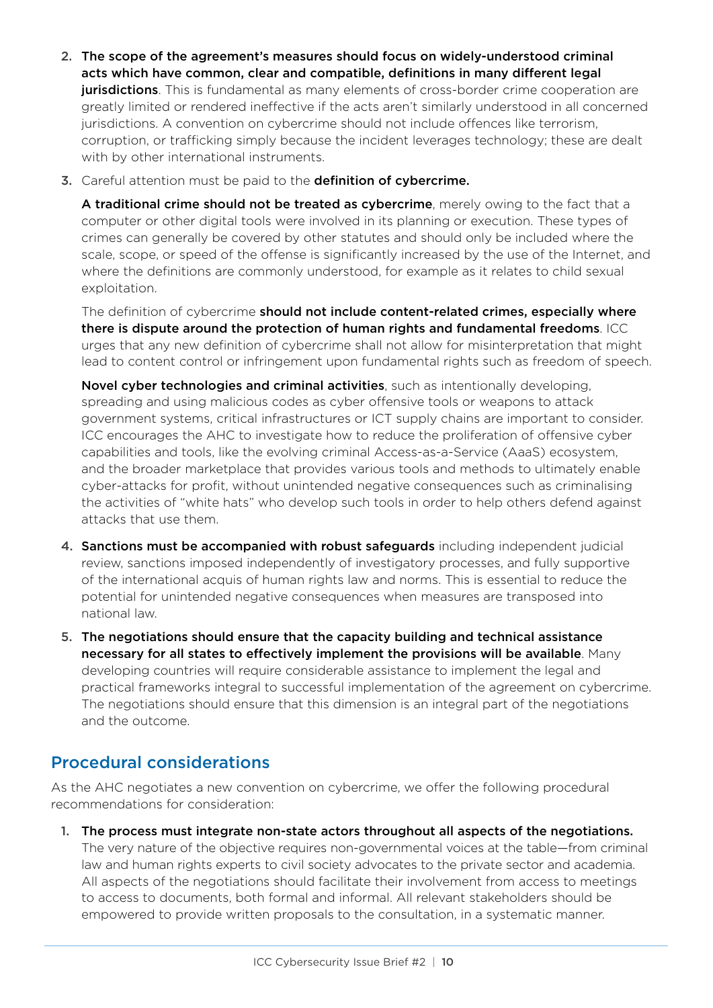- 2. The scope of the agreement's measures should focus on widely-understood criminal acts which have common, clear and compatible, definitions in many different legal **jurisdictions**. This is fundamental as many elements of cross-border crime cooperation are greatly limited or rendered ineffective if the acts aren't similarly understood in all concerned jurisdictions. A convention on cybercrime should not include offences like terrorism, corruption, or trafficking simply because the incident leverages technology; these are dealt with by other international instruments.
- 3. Careful attention must be paid to the definition of cybercrime.

A traditional crime should not be treated as cybercrime, merely owing to the fact that a computer or other digital tools were involved in its planning or execution. These types of crimes can generally be covered by other statutes and should only be included where the scale, scope, or speed of the offense is significantly increased by the use of the Internet, and where the definitions are commonly understood, for example as it relates to child sexual exploitation.

The definition of cybercrime should not include content-related crimes, especially where there is dispute around the protection of human rights and fundamental freedoms. ICC urges that any new definition of cybercrime shall not allow for misinterpretation that might lead to content control or infringement upon fundamental rights such as freedom of speech.

Novel cyber technologies and criminal activities, such as intentionally developing, spreading and using malicious codes as cyber offensive tools or weapons to attack government systems, critical infrastructures or ICT supply chains are important to consider. ICC encourages the AHC to investigate how to reduce the proliferation of offensive cyber capabilities and tools, like the evolving criminal Access-as-a-Service (AaaS) ecosystem, and the broader marketplace that provides various tools and methods to ultimately enable cyber-attacks for profit, without unintended negative consequences such as criminalising the activities of "white hats" who develop such tools in order to help others defend against attacks that use them.

- 4. Sanctions must be accompanied with robust safeguards including independent judicial review, sanctions imposed independently of investigatory processes, and fully supportive of the international acquis of human rights law and norms. This is essential to reduce the potential for unintended negative consequences when measures are transposed into national law.
- 5. The negotiations should ensure that the capacity building and technical assistance necessary for all states to effectively implement the provisions will be available. Many developing countries will require considerable assistance to implement the legal and practical frameworks integral to successful implementation of the agreement on cybercrime. The negotiations should ensure that this dimension is an integral part of the negotiations and the outcome.

### Procedural considerations

As the AHC negotiates a new convention on cybercrime, we offer the following procedural recommendations for consideration:

1. The process must integrate non-state actors throughout all aspects of the negotiations. The very nature of the objective requires non-governmental voices at the table—from criminal law and human rights experts to civil society advocates to the private sector and academia. All aspects of the negotiations should facilitate their involvement from access to meetings to access to documents, both formal and informal. All relevant stakeholders should be empowered to provide written proposals to the consultation, in a systematic manner.